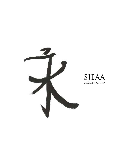

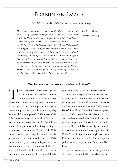# Forbidden Image

# *The 1996 Chinese Ban of the Fourteenth Dalai Lama's Image*

#### *Sarah Getzelman*

*Ohio State University*

*More than a decade has passed since the Chinese government banned the possession of images of the Fourteenth Dalai Lama within the Tibetan Autonomous Region. Images of the Dalai Lama, who currently lives in exile as the spiritual and political leader of the Tibetans, became highly accessible in the 1990s and held special meaning for Tibetans living under Communist domination. Faced with the growing stature of the Dalai Lama in the international community, including his 1989 Nobel Peace Prize, the People's Republic of China imposed a ban in 1996 on the possession of the exiled leader's image. This article details the political and social events that led to the ban, attempts to understand the Tibetan response, and evaluates the effectiveness of censorship as a method of achieving the objectives of the Chinese government.*

## *"Buddhism must conform to socialism, not socialism to Buddhism."1*

The visual image has long been recognized<br>as a source of powerful human<br>communication. Whether as a display<br>of religiosity, cultural unity, or personal spirituality, as a source of powerful human communication. Whether as a display of religiosity, cultural unity, or personal spirituality, images signal distinct and important messages to a community. In a relatively illiterate society they become all the more powerful.2 The image of the Dalai Lama has long been revered in Tibet. As a reincarnation of Avalokitesvara, the Dalai Lama acts as a living buddha, and his image is of great importance to practitioners. The role of the Dalai Lama, however, has changed drastically in the past century. The current and fourteenth Dalai Lama, Tenzin Gyatso, has gone beyond sectarian issues to unite the exiled community of Tibet.<sup>3</sup> It is this political role that has troubled the Chinese government, and prompted officials to prohibit the

possession of the Dalai Lama's image in 1996.

Initially, this display of political power seemed to come at an arbitrary date in Sino-Tibetan relations. The accession of Tibet (now known as the Tibetan Autonomous Region or TAR) into the People's Republic of China (PRC) was completed in 1959.4 After the death of Mao Zedong in 1976 and the subsequent end of the Cultural Revolution, rebel uprisings within China's borders, including those in Lhasa and Tiananmen Square, brought international attention to human rights issues in China. Thus, the question one might ask is why Chinese officials waited until 1996 to impose a policy banning images of the Fourteenth Dalai Lama.

The events leading up to the ban provide a clear context for the PRC's iconoclastic agenda.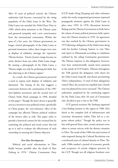After 35 years of political control, the Chinese authorities had become concerned by the rising popularity of the Dalai Lama in the West. The Dalai Lama was awarded the Nobel Peace Prize in 1989, which drew attention to the Tibetan cause and garnered sympathy and a new consciousness from the international community. Within the span of a few years, the Chinese government no longer viewed photographs of the Dalai Lama as personal mementos; rather, these images were seen as displays of solidarity amongst the 'separatist' Tibetan faction. Tenzin Gyatso's image became an entity distinct from any other Dalai Lama image. By owning a photograph of the Dalai Lama, a Tibetan might not only be professing his faith, but also objecting to the Chinese regime.<sup>5</sup>

As a result, the Chinese government perceived a need to repress such displays of solidarity and dissension. The timing of the ban suggests a connection between the continuation of the 1987 Anti-Splittist movement and the second wave of China's Strike Hard campaign in 1996, detailed in this paper.6 Though the latter decree is generally seen as a reaction to non-political crimes, specifically in China proper, the 'zero-tolerance' effect of the campaign has affected Tibetan political violators of the former edict as well. This paper seeks to provide a historical context for the eventual ban by examining the political and social events that led up to it and to evaluate the effectiveness of such censorship in meeting the Chinese objective.

# *Post-Mao Developments*

Political and social reformations in Tibet finally became possible after the death of Mao Zedong in 1976.<sup>7</sup> Chinese Communist Party

(CCP) leader Deng Xiaoping and other reformers under the newly reorganized government repressed propaganda measures against the Dalai Lama in place since 1959. In 1978, discussions between Beijing and the Tibetan Government in Exile led to the release of many political prisoners held captive since the Chinese invasion in 1959. An agreement was also reached by the Chinese government in 1979 allowing a delegation of the Dalai Lama along with his brother Lobsang Samten to visit Tibet and report to Dharamsala according to conditions outlined by the ruling Communist government. The Tibetan response to this delegation, however, may have unintentionally caused more paranoia in the minds of CCP leaders. Tibetans throughout the TAR greeted the delegation with cheers for the Dalai Lama's long life and shouts proclaiming Tibet's independence. A total of three delegations visited Tibet; the second was expelled and a fourth tour was planned but never executed.8 The Chinese authorities, perplexed by the continuing support for the Dalai Lama after 20 years of Communist rule, decided to pay a visit to the TAR.

CCP general secretary Hu Yaobang organized a fact-finding mission to the region in 1980. Hu's shock at the complete lack of infrastructure and economic devastation within Tibet led to a sixpoint reform policy.9 Though the policy was in line with general Party rules, certain measures were taken to ensure success with the distinct situation in Tibet. The result of this 1980 visit and revision of rules imposed during the Cultural Revolution was a newfound sense of cultural identity in Tibet. The early 1980s marked a period of economic growth and acceptance of certain religious practices by the CCP. Though not all religious freedoms were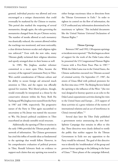granted, individual practice was allowed and even encouraged as a unique characteristic that could eventually be marketed by the Chinese to tourists. This period also marked the reopening of several monasteries, though again, the rules governing the monasteries changed from the pre-Chinese society. The number of monks allowed at each monastery was drastically reduced, the content allowed within the teachings was monitored, and most noticeably, a clear division between secular and religious rights was enforced.<sup>10</sup> Even with the new rules, many Tibetans gladly reclaimed their religious identities and openly arranged altars in their homes as well.

In 1985, Wu Jinghua, another reformer committed to a more open Tibet, became the secretary of the regional Communist Party in Tibet. Wu's careful consideration of Tibetan culture and his ability to secure foreign aid attracted much attention to Tibet, and the region was officially opened for tourism. Wu's liberal policies, though, would eventually be interpreted as a threat by the conservative element within the Party. Both Hu Yaobang and Wu Jinghua were ousted from the Party in 1987 and 1988, respectively. The progressive nature of the Party in Tibet again succumbed to uncertainty as Hu Jintao was named the successor to Wu. Hu Jintao's political crackdown in Tibet exacerbated an already unstable social structure.

Additionally, the opening of Tibet to tourists in the early 1980s provided the Tibetan people with a network of information. The Chinese government has cited this influx of outside ideas as fundamental to the uprisings that would follow. However, in his comprehensive evaluation of political protests in Tibet, Ronald Schwartz finds no evidence to support such claims that any uprising was rooted in either foreign reactionary ideas or directions from the Tibetan Government in Exile.<sup>11</sup> In order to tighten its control on the flow of information, the CCP confiscated any information determined to be reactionary or 'splittist.' This included documents like the United Nations Universal Declaration of Human Rights.<sup>12</sup>

#### *Tibetan Uprisings*

Between 1987 and 1992, 138 separate uprisings or incidents were reported.<sup>13</sup> The first began as a show of support for the work of the Dalai Lama when he presented the US Congressional Human Rights Caucus with a Five-Point Peace Plan in 1987.14 While the Dalai Lama was in the United States, the Chinese authorities executed two Tibetans accused of criminal activity. On September 27, 1987, the streets of Lhasa filled with political protesters for the first time since 1959. The Beijing Review linked the uprising to the influence of the West: "[the riot was] designed in faraway quarters as an echo to the Dalai Lama's separationist activities during his visits to the United States and Europe….[US support of these activities is] a gross violation of the norms of international relations and an act of interference in China's internal affairs."15

Several days later the Tibet Daily published a government notice announcing the new Anti-Splittist Campaign that remains in effect to this day. Three directives were clearly defined to notify the public that neither support for the Tibetan Government in Exile nor any opposition to the Party would be tolerated. The goal of this directive was to identify the 'troublemakers' of the group and prevent future uprisings at the Jokhang in the heart of Lhasa.16 Three phases of the campaign followed,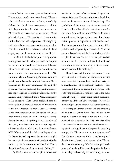with the final phase imposing martial law in Lhasa. The resulting ramifications were broad. Tibetans who had family members in India, specifically children in school there, were seen as political risks despite the fact that their ties to anyone in Dharamsala may have been quite tenuous. These otherwise innocent Tibetans had their rations for food and other subsidized goods cut off completely and their children were removed from registration lists that would have otherwise allowed them employment or education upon return to Tibet.<sup>17</sup>

In 1988, the Dalai Lama presented a proposal to the government in Beijing to end Tibet's quest for a return to independence. This proposal allowed China to sustain control of foreign and militaristic matters, while giving true autonomy to the TAR. Unfortunately, the Strasbourg Proposal, as it was called, was unfavorable with both factions. Many Tibetans in the exile community thought the agreement was too weak, and those on the Chinese side opposed giving Tibet independence due to the national unity established under Mao. In response to his critics, the Dalai Lama explained that his main goals had changed because of the severity of the issue. Instead, he now requested a reversal of the Han population transfer policy, and more importantly, a cessation of the killings occurring during the series of uprisings.<sup>18</sup> In December of that year, two days after another uprising, the Chinese People's Political Consultative Conference (CPPCC) announced that "what had happened on 10 December had happened before and it might happen again. In every case it will be dealt with the same way, the demonstrators will be shot. This is the policy of the central committee in Beijing."<sup>19</sup>

By 1990, a new wave of religious intolerance

had begun. Ten years after Hu Yaobang's significant visit to Tibet, the Chinese authorities ordered four tanks to the square in front of the Jokhang. The symbolism of this move was clear--the streets of Lhasa had been free of such restrictions since the end of the Cultural Revolution.<sup>20</sup> Due to the severe restrictions on foreigners, there were just eleven visitors present during this time of martial law.<sup>21</sup> The Jokhang continued to serve as the heart of the political and religious fight between the Tibetans and the People's Armed Police, a division of the People's Liberation Army.<sup>22</sup> Just one year earlier, members of the Chinese military had stationed themselves in front of the temple, aiming rocket launchers toward the building.<sup>23</sup>

Though personal devotion had previously not been viewed as a threat, the Chinese authorities now relegated independent Buddhist acts to a manifestation of a solidarity faction. The government began to realize the problems with restricting political independence, yet at the same time allowing for other independent freedoms, namely Buddhist religious practices. Two of the more ubiquitous practices to be banned included the burning of juniper incense and the throwing of tsampa or barley flour. One of the more physical displays of support for the Dalai Lama included these practices in 1989, six days after the Tibetan leader received the Nobel Peace Prize. By circling the Jokhang and repeatedly throwing tsampa, the Tibetans were—to the ignorance of the Chinese guards on duty—showing support for the international award winner. One Tibetan described the gathering: "We threw tsampa at each other and at the soldiers and the police for hours before they realized why we were doing it…then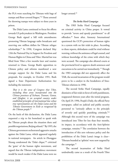the PLA went searching for Tibetans with bags of tsampa and flour-covered fingers."<sup>24</sup> Those arrested for throwing tsampa were subject to three years in prison.

The Dalai Lama continued to focus his efforts towards US policymakers in Washington. President George Bush signed a bill with amendments promoting Tibetan language radio broadcasts and reserving one million dollars for Tibetan refugee scholarships.25 In 1990, Congress declared May 13th the National Day in Support for Freedom and Human Rights in China and Tibet. Martial law was lifted from Tibet a few months later and tourists returned to Lhasa. George Bush's opposition to Chinese policy and reforms manifested a new strategic support for the Dalai Lama and his proposals. For example, in October 1991, Bush signed a State Department Authorization Act including the statement:

*That it is the sense of Congress that Tibet, including those areas incorporated into the Chinese provinces of Sichuan, Yunnan, Gansu, and Qinghai, is an occupied country under established principles of international law whose true representatives are the Dalai Lama and the Tibetan Government in Exile as recognized by the Tibetan people.26*

On the heels of this declaration, the Dalai Lama requested a trip to his homeland to speak with the Tibetan people about the situation there and possible negotiations; Beijing refused.27 By 1995, the Chinese government orchestrated aggressive attacks against the Dalai Lama, which appeared regularly in national newspapers. An article in Zhongguo Xizang condemned the 'Dalai clique,'28 criticized the 'guise' of the human rights movement, and argued that the Tibetan independence movement would be much weaker if the Dalai Lama were no

longer around.<sup>29</sup>

#### *The Strike Hard Campaign*

The 1983 Strike Hard Campaign focused on criminal activity in China proper. It vowed to provide "severe and speedy punishment" to all offenders.30 Soon after, Amnesty International questioned the CCP's protection of human rights in a system with no fair trials in place. According to these reports, defendants could be tried without warning, without the assistance of legal counsel, and without knowledge of the crime with which they were accused. The campaign also allowed courts at the provincial level to approve death sentences and executions to be carried out immediately.<sup>31</sup> Though the 1983 campaign did not apparently affect the TAR, the second incarnation of the program would prove to be a catalyst in the breakdown of Sino-Tibetan relations in 1996.

The second Strike Hard Campaign, equally dismissive of fair trials in favor of swift punishment, reappeared thirteen years after the initial program. On April 29, 1996, People's Daily, the official Party newspaper, called on judicial and public security personnel to "seriously adhere to the principle of severely and quickly punishing criminals."32 Although this second wave of the campaign was introduced into Tibet for less than four months, its impact, in accordance with the Anti-Splittist campaign, remains.<sup>33</sup> The correlation between the introduction of this zero tolerance policy and the prohibition of the Dalai Lama's image is clear-- Tibetans branded as 'splittist' were now targeted by the campaign.<sup>34</sup>

The second incarnation of Strike Hard undoubtedly came as a result of the Fourth Tibet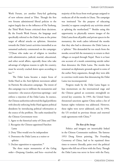Work Forum, yet another Party-led gathering of new reforms aimed at Tibet. Though the first two forums administered liberal policies to the region largely due to the influence of Hu Yaobang, the Third Work Forum criticized these decisions. By the Fourth Work Forum, the language used specifically referred to the Dalai Lama as the prime target of official attacks on splittism. Attention towards the Dalai Lama's activities intensified as an unnamed authority commented on the campaign: "[T]hose who make use of religion to interfere with administrative, judicial, martial, educational, and other social affairs, especially those who take advantage of religious reasons to split the country, must be severely cracked down upon according to law."35

The Dalai Lama became a major focus of Strike Hard as the Anti-Splittist movement added its Patriotic Re-education campaign. The intent of this campaign was to infiltrate the monasteries and nunneries—the sources of previous uprisings—and enforce a rejection of the Dalai Lama. In essence, the Chinese authorities subverted the legal problems with directly enforcing Strike Hard against political dissidents by introducing political reformation at the source of the problem. The oaths mandated by the Chinese Government were:

- 1. Agree to the historical unity of China and Tibet
- 2. Recognize the Chinese-appointed Panchen Lama
- 3. Deny Tibet would ever be independent
- 4. Denounce the Dalai Lama as a traitor or splittist
- 5. Declare opposition to separatism.36

The three major monasteries of the Gelug order—Drepung, Ganden, and Sera—received the majority of the focus from work groups assigned to reeducate all of the monks in Lhasa. The campaign was instituted "for the purpose of educating [monks] to oppose completely any activities aimed at splitting the motherland."37 Besides using this opportunity to physically remove images of the Dalai Lama from all public and private spaces in the monastery, the work cadres informed the monks that they also had to denounce the Dalai Lama as a 'splittist.' This demanded far too much from the monks; several left the monastery to return to their villages or escaped through Nepal. There is at least one account of a monk committing suicide rather than denounce the Dalai Lama. The monks that remained on diplomatic grounds agreed to some of the earlier Party arguments, though they were able to convince work teams that denouncing the Dalai Lama was inconsequential.

Progress made by the Dalai Lama began to lose momentum on the international stage and the Chinese gained an economic stronghold on several key countries. In 1993, the United States threatened sanctions against China unless a list of human rights violations was addressed. However, these rights were never addressed, and, by 1994, the US revoked its previous threats and renewed trade agreements with China.<sup>38</sup>

# *The Ban of the Image*

Politics and imagery are inextricably linked in the Chinese Communist tradition. The famous 1953 Dong Xiwen painting, The Founding Ceremony of China, had to be repainted three times to remove (literally, paint over) the political figures who fell out of favor with the Party. Though the Dalai Lama was never in favor with the Party,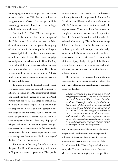his emerging international support and mere visual presence within the TAR became problematic for government officials. His image would be accordingly removed, though on a much larger scale than the repainted artwork.<sup>39</sup>

On April 5, 1996, Tibetan newspapers announced the absolute ban on all images of the Dalai Lama.<sup>40</sup> In a calculated move, officials decided to introduce the ban gradually. A group of enforcement officials visited public buildings in Lhasa on April 24th to further ensure enforcement of the ban. In May, the Anti-Dalai Lama Campaign set its sights on the schools within Tibet. On May 16th, all middle and secondary school children were informed that the possession of Dalai Lama images would no longer be permitted.<sup>41</sup> Official work teams arrived at several monasteries to ensure the ban was followed.

To a lesser degree, the ban had actually begun two years earlier with the enforced restriction of religious materials in TAR governmental offices. The Tibet Policy first changed after the Third Work Forum with the repeated message to officials that the Dalai Lama was a 'serpent's head' which must be 'chopped off' in order to kill the serpent.<sup>42</sup> The first stage of the anti-image agenda was enacted when all governmental officials within the TAR were completely banned from any displays of religious affiliation. This same time period brought about several new restrictions to be followed by the monasteries; the most severe repercussions were executed against those responsible for an image of the Dalai Lama on the premises.

The methods of relaying this information to the general public differed depending on location. In Shigatse, the second largest city in Tibet, public announcements were made on loudspeakers informing Tibetans that anyone with photos of the Dalai Lama would be required to surrender them to officials.43 Subsequent reports indicate that officials required several Tibetans to burn these images or trample on them in a manner not unlike practices from the Cultural Revolution. Additionally, the red cord often worn by Tibetan Buddhists (sungdu) was also banned, despite the fact that these cords are generally conferred upon practitioners by lamas in Buddhist ceremonies and do not imply a connection to the Dalai Lama. The ban of this additional display of religiosity pushed the Chinese agenda further toward the eventual removal of all religious practices deemed to be simultaneously political in nature.

The following is an excerpt from a Chinese governmental news media report in which the importance of harnessing the influence of the Dalai Lama was detailed:

*Tibetan journalists first face the challenge of and struggle against the Dalai clique in media airspace supported by hostile Western forces. In other words, our Tibetan journalists are faced with the living reality of class struggle on an international scale. Since we are fighting the Dalai clique, it is a life-and-death class struggle of infiltration versus anti-infiltration and subversion versus anti-subversion. The main infiltration means used by the Dalai clique is exploitation of media tools, and exploitation of certain Western media for propaganda and attacks against us.44*

The Chinese government's ban on all Dalai Lama images may have also been a reaction against the influence of foreigners. Prior to 1996, it was not uncommon to see tourists with pictures of the Dalai Lama and the Tibetan flag attached to their backpacks. The ban reinforced a break between what was otherwise a unifying visual image. After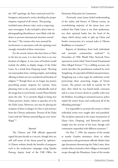the 1987 uprisings, the Party restricted travel for foreigners and posted a notice detailing the proper etiquette required of all visitors. This posting included many abstract rules, such as respecting state sovereignty. It also included a direct ban on photographing disturbances, most likely with the desire to prevent international attention toward the issue.45 The tourists who were arrested for involvement or association with the uprisings were strongly reminded of these restrictions.

For the several visitors who have been to Tibet in the last ten years, it is clear that there is no true freedom of religion. A true sense of freedom would include the ability to display images of the Dalai Lama. As a monk from Drepung stated, "Reciting om mani padme hum, visiting temples, and making offering to deities are not considered real freedom of religion."46 Though there are no longer any posters prescribing proper etiquette for tourists, those planning visits to the country undoubtedly read of the image ban in travel books. Lonely Planet bluntly states the rule: "It is currently illegal to bring into China pictures, books, videos or speeches of or by the Dalai Lama. Moreover, you may be placing the recipient of these in danger of a fine or jail sentence from the Chinese authorities. Pictures of the Dalai Lama with the Tibetan national flag are even 'more' illegal."47

# *Success?*

The Chinese and TAR officials apparently regard the past decade as a success, though they are still well aware of the threat posed by 'splittists.' A Chinese website details the benefits of programs such as the reeducation campaign citing Qamba Puncog, deputy head of the TAR Office for Patriotism Education for Lamaseries:

 Previously, many lamas lacked understanding of the reality and history of Tibetan society, an overwhelming majority of the lamas have now realized that Dalai Lama is not their spokesman, nor their spiritual leader but the head of the clique which always seeks to split up China and hinder construction of a normal order in Tibetan Buddhism or Lamaism.<sup>48</sup>

Reports of dissidence from both individuals and monastic communities surfaced.<sup>49</sup> In November of 1996, World Tibet Network News reported an article titled "Artist Found Traumatized After Alleged Torture."50 In a chilling account, the article describes the punishment endured by artist Yungdrung. As a specialist of Dalai Lama portraiture, Yungdrung was a clear target for authorities newly persecuting those possessing images of Tenzin Gyatso. The painter was held in custody for 58 days, after which he was found barely conscious and in a state of severe shock in a public toilet near the Barkhor. According to unnamed sources, police raided the artist's house and confiscated all of the offending paintings.<sup>51</sup>

It is impossible to ascertain the extent to which individual artists were sought after and punished. The incidents reported at the major monasteries of Lhasa—Sera, Drepung, and Ramoche—provide insight into the severity of the issue, though each community responded with different measures.<sup>52</sup>

On May 7, 1996, the majority of the monks at nearby Ganden monastery chose to refuse cooperation with government officials. Rather than sign documents denouncing the Dalai Lama, these monks either returned to their villages or attempted escape through the Himalayas. Some of the monks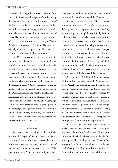were arrested, though the numbers cited vary from 7 to 70.45 There were also reports of gunfire during this incident that were perhaps the possible cause of death of two monks and numerous injuries. Only a handful, the eldest and youngest of the 500 monks from Ganden remained. Just an hour outside of Lhasa, Ganden monastery was once again deprived of its pre-Communist status as a major Tibetan Buddhist monastery.53 Though Ganden was officially closed to foreigners, the Tibet issue was already prominent on the international stage.

In 1997, Washington again turned its attention to Tibetan matters when Madeleine Albright announced to congressional leaders the intention of the Clinton administration to create a specific Tibetan affairs position within the State Department. The US State Department Report on China clearly acknowledges the incidents of the preceding years.<sup>54</sup> Besides reporting on human rights violations, the report mentions the ban on the Dalai Lama image, and cites the use of house-tohouse searches by government officials.<sup>55</sup> The report also details the Patriotic Re-education campaign and notes "Hundreds of officials participated in the campaign, during which monks were forced to attend sessions on law, patriotism, and support for national unity and were coerced to sign statements criticizing the Dalai Lama."56

## *Conclusion*

Ten years have passed since the umbrella ban on all images of Tenzin Gyatso in Tibet. Have the Chinese authorities achieved their goal? If the objective was to lessen outward signs of independence, then it has been a success. If the goal was to stop Tibetans from unifying under their political and religious leader, the Chinese authorities have underestimated the Tibetans.

During a recent visit to Tibet, I noted numerous instances of people surreptitiously defying the ban.<sup>57</sup> I spotted one monk working on a painting, and though he was initially hesitant as I approached, he quickly showed me a painting sitting next to him—a portrait of the Dalai Lama. I was allowed to enter his living quarters where another image of the Dalai Lama was displayed prominently in the center of the room. The risk involved in creating such images is obviously great. However, the importance of practicing one's faith seems to have superseded the Chinese government's policies. Thus, the Tibetans continue to create and possess images of the Fourteenth Dalai Lama.<sup>58</sup>

On September 13, 2006, US Congress passed a bill awarding the Dalai Lama the Congressional Gold Medal, the highest civilian honor in the nation. Across party lines, the Senate and the House supported the bill originally proposed by Senators Dianne Feinstein and Craig Thomas as well as House Representatives Ileana Ros-Lehtinen and Tom Lantos. A spokesman for China's Foreign Ministry immediately criticized the decision, saying it "seriously interferes with China's internal affairs and damages China-US relations….We express our strong dissatisfaction and firm opposition."59

The Dalai Lama will most likely accept the medal in person during his next visit to Washington, tentatively planned for October 2007. This event is coincidentally scheduled twenty years after the first uprisings in Lhasa took place when Tibetans first learned of the Dalai Lama's address to the Senate. Undoubtedly, the Chinese authorities will realize the significance of the date and have reinforcements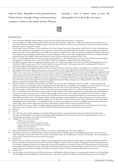ready in Lhasa. Regardless of the potential threat, Tenzin Gyatso's message of hope and perseverance continues to thrive in the minds of many Tibetans,

awaiting a time in history when at least the photographs, if not the leader, can return.



#### **ENDNOTES**

- 1 From a November 1996 Tibet Daily newspaper as cited in the 1997 US State Department Report on China-Tibet.
- 2 Tom A. Grunfeld, *The Making of Modern Tibet* (Armonk, New York: M.E. Sharpe Inc., 1996), 226. In a 1990 census, 44.43 percent of Tibetans over 15 years old and 79 percent of women of childbearing age were illiterate. Only 18.6 percent of Tibetans attended primary school, with the numbers for further educational experience reported as minimal.
- 3 Donald Lopez, *Prisoners of Shangri-La: Tibetan Buddhism and the West* (Chicago: University of Chicago Press, 1998), 181-207. The role of the Dalai Lama in the past fifty years has been much different than any previous incarnation. As an international hero, Tenzin Gyatso is forced to make many decisions his predecessors could not have possible foreseen; specifically, he has become a unifying force for an otherwise quite diverse population of Tibetans. The concept of 'nationality', discussed at length by Donald Lopez in Prisoners of Shangri-La, did not exist in Tibet. Though the Dalai Lama's role is traditionally largely spiritual (relying on the Kashag for many political decisions), Tenzin Gyatso now epitomizes a political symbol of Tibet.
- 4 There are several boundary distinctions between the cultural region referred to as 'Tibet' and the political area known as the 'Tibetan Autonomous Region.' For the purposes of this paper, I have used the terms Tibet and TAR interchangeably to emphasize the Chinese political role.
- 5 It is difficult to ascertain information regarding the popularity of the current Dalai Lama's image before the ban. Certainly, the photographs became much desired after 1996. On a recent trip to Tibet, I was often asked for an image of the leader. These requests indicate the continuing quest of Tibetans to practice their religious beliefs and possess a sense of unity with each other.
- 6 The movements known as Anti-Splittist and Strike Hard are sometimes referred to in quotation marks (i.e. "Anti-Splittist") as a reminder to the reader that the translations from Chinese differ according to source. I have omitted these marks as an attempt to further validate the phrasing of the movements.
- 7 Robert Barnett, *Lhasa: Streets with Memories* (New York: Columbia University Press, 2006), 151. Barnett mentions an interesting theory regarding the death of Mao and rise of the Dalai Lama's popularity surmised by Chinese intellectual Wang Lixiong. Wang writes of the effective policies within Tibet as related to the living deity that Mao had become; that is to say, the Tibetans replaced one god the Dalai Lama with another. After the death of Mao, the Tibetans again turned to the Dalai Lama to fulfill this centuries-old dependence on a central figure: "Only Mao had succeeded in dissolving the religious and ethnic unity of the Tibetans, by introducing the element of class struggle. Renouncing this without creating any new ideology has left a vacuum that can only be filled by a combination of lamaist tradition and ethnic nationalism."
- 8 Ronald D. Schwartz, *Circle of Protest: Political Ritual in the Tibetan Uprising* (New York: Columbia University Press, 1994), 14. Schwartz describes the political tension that surrounded these missions, though the specific reasons behind the success/failure of each delegation are omitted. One can surmise that the trips were deemed unsuccessful by the Chinese Party leaders, as the Party Secretary for Tibet, Ren Rong, was fired shortly thereafter.
- 9 Ibid., 15. The policy as cited in Schwartz: "1. To exercise national autonomy in the region fully that is to say, to let Tibetans really be the masters of their own lives. 2. A commitment by the Central Government to relieve and reduce burdens on the people, exempting them from agricultural and animal husbandry tax over the next three to five years in order to allow the Tibetan people a chance to recover. 3. To adopt a special policy to revive the Tibetan economy, including the adoption of a system of private economy in line with Tibetan circumstances. Nationwide this initiative was developed into the economic (household) responsibility system. 4. To make great efforts to develop agriculture and animal husbandry as well as the manufacture of consumer goods, in order to promote economic prosperity and enrich people's lives. 5. To make efforts to develop Tibetan science, culture and education, and to prepare for the establishing of the University of Tibet. 6. To implement the policy on minority nationality cadres correctly, to strengthen the unity between the Han and Tibetan cadres, and to transfer a large quantity of Chinese cadres who had worked in Tibet for many years back to the interior."
- 10 Prior to 1959, the monasteries in Tibet were largely involved with political decisions. Secular and spiritual issues were not divided; hence, the role of the Dalai Lama remains a conflation of the two. The arrival of the Communist Party marked the end of monastic secular authority.
- 11 Schwartz, 7.
- 12 Ibid., 8.
- 13 Ibid., 186. The majority of these uprisings occurred at the Jokhang. Generally, on a pre-determined date, a group of monks from one of the nearby monasteries would peacefully circumambulate the Jokhang, gradually gaining other Tibetan protesters (many of the younger generation) as the circuit continued. Schwartz details several of these events in Circle of Protest.
- 14 Grunfeld, 232. The Five Point Peace Plan:
	- 1. Tibet to be a zone of peace
		- 2. An abandonment of Chinese migration to Tibet
		- 3. Respect for human rights and democratic freedoms
		- 4. Respect for the environment
		- 5. Negotiations on the future status of Tibet.
- 15 Allen Carlson, *Beijing's Tibet Policy: Securing Sovereignty and Legitimacy* (Washington: East-West Center, 2004), 23.
- 16 The Jokhang is the most sacred Buddhist temple in Tibet. Practitioners believe the Buddha image in this building is the Jowo statue. This most revered object was brought to Lhasa in the seventh century by the Tibetan king's Chinese wife. The Jokhang is in the center of the Barkhor—the circumambulatory path traveled by Tibetans and the location of most of the uprisings.
- 17 Schwartz, 53.
- 18 Barnett, *Resistance and Reform in Tibet*, 203. Another point of contention between the Dalai Lama and the Chinese Government would arise in 1989. In January, the Panchen Lama spoke to Communist Party members in Shigatse, somewhat uncharacteristically challenging the benefits of development under Party members. Though the Panchen Lama was generally viewed as more sympathetic to the economic desires of the Chinese government, this speech may have antagonized the wrong people. Five days after his speech, the Panchen Lama unexpectedly died under dubious conditions. Six years after his death, the Panchen Lama remained a controversial figure as the Tibetan Government in Exile and Chinese authorities debated the true reincarnation.
- 19 Schwartz, 143.
- 20 It is interesting to note the tendency of the Chinese government to hold religious celebrations (again, in an attempt at partial tolerance) at the Norbulingka. The Norbulingka is generally regarded by Tibetans as the more secular of the two palaces of the Dalai Lama (the Potala being the sacred). The degree to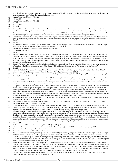which the Chinese have been successful seems irrelevant to the practitioners. Though the annual yogurt festival and official gatherings are conducted at the summer residence, it is the Jokhang that remains the heart of the city.

- 21 Barnett, *Resistance and Reform in Tibet*, 239.
- 22 Schwartz, 86.<br>23 Barnett, Resis
- 23 Barnett, *Resistance and Reform in Tibet*, 243.
- 24 Ibid., 251.<br>25 Grunfeld.
- 25 Grunfeld, 237.<br>26 Ibid. 238
- 26 Ibid., 238.
- 27 Carlson, 34. The end of the Cold War added additional focus to the Communist country. Ties between the Dalai Lama and Washington remained intact with the departure of George Bush and the arrival of the new Clinton administration. Upon reflection of these two years, one party official in Beijing stated: "Yes, we placed a stronger emphasis on state sovereignty over Tibet in 1991 and 1992. The rest of the world changed at this time, and it was clear to us that the US was starting to challenge China on Tibet to an extent that it hadn't since the end of CIA involvement in the region in the 1970's."
- 28 Schwartz, 58. A monk who fled Drepung in 1988 recounted the response of monks to a Chinese radio announcement against the Dalai clique: "The monks spoke against this, saying: 'It's not the Dalai clique, but Chinese beating corpses (the joke in Tibetan plays on ru tshogs =clique, but ro dzhog =beating a corpse)."
- 29 Ibid., 37.
- 30 BBC Summary of World Broadcasts, April 30 1996 as cited in "'Strike Hard' Campaign: China's Crackdown on Political Dissidents," (TCHRD) <http:// www.tchrd.org/publications/topical\_reports/strike\_hard-2004/strike\_hard-2004.pdf>
- 31 1996 Amnesty International Report as cited on "'Strike Hard' Campaign," 5.
- 32 "Strike Hard Campaign," 4.
- 33 Ibid., 8.
- 34 Ibid., 24. The three major points of Strike Hard (as cited in "Strike Hard Campaign,") are 1. Forceful Crackdown 2. The Severest of Capital Punishment 3. The Swiftest of Execution. The Party Secretary of Xinjiang discussed the need for this difference in his comment to the South China Morning Post: "The Strike Hard campaign is a national campaign and different regions have a different focus depending on their local situations. In Xinjiang, Strike Hard is aimed at burglars, thieves, and those participating in violent crimes. But [we also have] the separatists, religious extremists, and terrorists. These people are conspiring to jeopardize national security."
- 35 Ibid., 27. The 'Strike Hard' campaign would actually be launched a third time, shortly after September 11, 2001. Under the guise (and actual wording) of a 'War on Terror', the Chinese government arrested Tulku Tenzin Delek and Lobsang Dhondrup, the first Tibetans to be labeled 'terrorists.'
- 36 Ibid., 29.
- 37 Melvyn C. Goldstein, "The Revival of Monastic Life in Drepung Monastery," in *Buddhism in Contemporary Tibet: Religious Revival and Cultural Identity*, edited by Melvyn C. Goldstein and Matthew Kapstein (Berkeley: University of California Press, 1998), 48.
- 38 For more on US-China trade relations, see Brett C. Lippencott's "Ending the Confusion in US China Policy" April 18, 1994 <http://www.heritage.org/ Research/AsiaandthePacific/asb130.cfm>
- 39 There are numerous images of previous incarnations of the Dalai Lama throughout Tibet, though these images are seen as strictly religious by the CCP. Images of the Dalai Lama, current or previous, were regarded as emanations of compassion, the spiritual side of the Dalai Lama's role. Though the previous incarnations served as secular leaders for several centuries, their painted images do not invoke the same sentiment as that of the current exiled leader, and thus, do not pose the threat of being a visual symbol of unification.
- 40 The operations of the Chinese government follow a pattern difficult to trace: the announcement of the ban or order is made by the official to the media, this information is related to the people through the local newspapers, and the ban or order is enforced by lower ranking officials thereafter. Though the date of this newspaper ban is debated, April 5 is cited in "Artist Found Traumatized After Alleged Torture," World Tibet Network News (TIN), November 26, 1996, < http://www.tibet.ca.en/wtnarchive/1996/11/26\_1.html>. In Lhasa, a Tibetan commented on the ban to a member of the Tibetan Information Network: "This act has made us feel resentful, and deep ill feeling has been surfacing amongst Tibetans here." "Anti-Dalai Lama Campaign Shifts to Schools," World Tibet Network News (TIN), May 20, 1996, <http://www.tibet.ca.en/wtnarchive/1996/5/20\_2.html>.
- 41 "Anti-Dalai Lama Campaign Shifts to Schools." An earlier ban of the Dalai Lama's image in schools was instated in 1986, though it seemed the photographs continued to be tolerated with no repercussions.
- 42 "China Strengthens Anti-Dalai Lama Campaign," as cited on Tibetan Centre for Human Rights and Democracy website, July 13, 2001, <http://www. tibetanliberation.org/antidalailamacampaign.html>.
- 43 "Anti-Dalai Lama Campaign in Full Swing," World Tibet Network News, December 8, 1994, <http://www.tibet.ca.en/wtnarchive/1994/12/8\_2.html>.
- 44 "Tibet Media Urged to Expose Dalai Lama's 'Plots'," Xizang Ribao (Chinese Government Official News Media), as cited on Tibetan Centre for Human Rights and Democracy website, November 13, 2000, < http://www.tibetanliberation.org/antidalailamacampaign.html>.
- 45 Schwartz, 41. Schwartz reproduces the foreign traveler warning: "1. We extend welcome to friends from the different countries in the World who come to our region for sightseeing, tour, visit, work, trade discussion and economic cooperation. 2. Whoever comes to our region must respect our State sovereignty, abide by the laws of our country. They are not allowed to interfere in internal affairs of our country and engage in activities that are incompatible with their status. 3. Foreigners are not allowed to crowd around watching and photographing the disturbances manipulated by a few splittists, and they should not do any distorted propaganda concerning disturbances, which is not in agreement with the facts. 4. In accordance with our laws we shall mete out punishment to the trouble-makers who stir up, support, and participate in the disturbance manipulated by a few splittists."
- 46 Schwartz, 73.
- 47 Bradley Mayhew and Michael Kohn, eds., *Lonely Planet: Tibet* (May 2005), 298.
- 48 "Education Improves Lamaseries' Administration," Xinhua News Agency, June 19, 2001, <www.china.org.cn/english/Tibet>.
- 49 "Anti-Dalai Lama Campaign Shifts to Schools."
- 50 "Artist Found Traumatized After Alleged Torture."
- 51 Ibid. The article further investigates the general role of the artist by interviewing the prominent Tibetan artist Gongkar Gyatso. Though the ban was not in effect in the 1980's, Gyatso discussed his fear of offending authorities: "In 1985 or '86 when for the first time I heard a cassette a (sic) speech by His Holiness, then I got a very good feeling about him, and I thought about doing a portrait of him. But we knew it was dangerous, that maybe I would lose my job or end up in prison or something like that. I know it was quite a serious thing so I always took care not to make the government angry."
- 52 "China Strengthens Anti-Dalai Lama Campaign." The restrictions continued in 2001 with the ban of celebrations of the Dalai Lama's birthday. The commemoration, known as Trunglha Yarsol, had been celebrated for years with relatively few incidents. A circular issued by the Chinese government was distributed on June 24 2001, two weeks before the July 6 celebration. This document, titled "Strengthening Abolition of the Illegal Activities of Trunglha Yarsol Celebration and Protection of Social Stability" was undoubtedly an extension of the earlier Strike Hard Campaign. Once again, the lines blurred between political protest and 'criminal activity.'
- 53 Ganden monastery was almost completely physically destroyed in the Cultural Revolution. Most of the structures that comprise the modern Ganden monastery were rebuilt in the early 1980s.